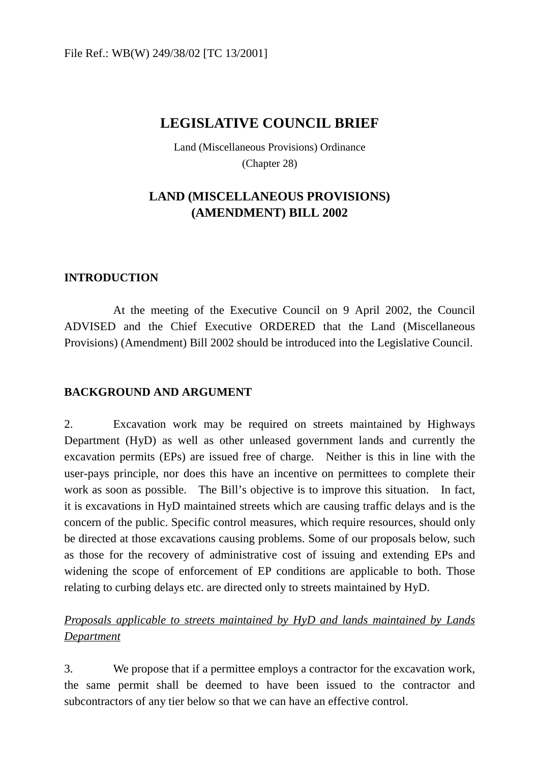# **LEGISLATIVE COUNCIL BRIEF**

Land (Miscellaneous Provisions) Ordinance (Chapter 28)

## **LAND (MISCELLANEOUS PROVISIONS) (AMENDMENT) BILL 2002**

#### **INTRODUCTION**

At the meeting of the Executive Council on 9 April 2002, the Council ADVISED and the Chief Executive ORDERED that the Land (Miscellaneous Provisions) (Amendment) Bill 2002 should be introduced into the Legislative Council.

#### **BACKGROUND AND ARGUMENT**

2. Excavation work may be required on streets maintained by Highways Department (HyD) as well as other unleased government lands and currently the excavation permits (EPs) are issued free of charge. Neither is this in line with the user-pays principle, nor does this have an incentive on permittees to complete their work as soon as possible. The Bill's objective is to improve this situation. In fact, it is excavations in HyD maintained streets which are causing traffic delays and is the concern of the public. Specific control measures, which require resources, should only be directed at those excavations causing problems. Some of our proposals below, such as those for the recovery of administrative cost of issuing and extending EPs and widening the scope of enforcement of EP conditions are applicable to both. Those relating to curbing delays etc. are directed only to streets maintained by HyD.

### *Proposals applicable to streets maintained by HyD and lands maintained by Lands Department*

3. We propose that if a permittee employs a contractor for the excavation work, the same permit shall be deemed to have been issued to the contractor and subcontractors of any tier below so that we can have an effective control.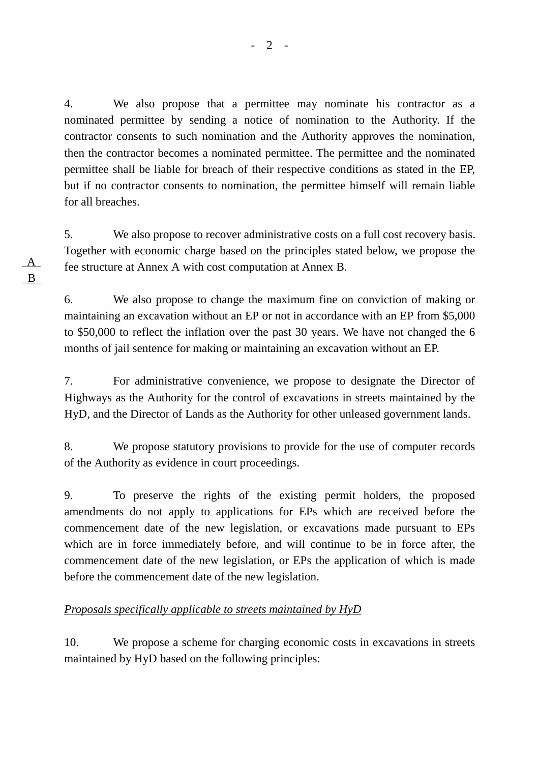4. We also propose that a permittee may nominate his contractor as a nominated permittee by sending a notice of nomination to the Authority. If the contractor consents to such nomination and the Authority approves the nomination, then the contractor becomes a nominated permittee. The permittee and the nominated permittee shall be liable for breach of their respective conditions as stated in the EP, but if no contractor consents to nomination, the permittee himself will remain liable for all breaches.

5. We also propose to recover administrative costs on a full cost recovery basis. Together with economic charge based on the principles stated below, we propose the fee structure at Annex A with cost computation at Annex B.

6. We also propose to change the maximum fine on conviction of making or maintaining an excavation without an EP or not in accordance with an EP from \$5,000 to \$50,000 to reflect the inflation over the past 30 years. We have not changed the 6 months of jail sentence for making or maintaining an excavation without an EP.

7. For administrative convenience, we propose to designate the Director of Highways as the Authority for the control of excavations in streets maintained by the HyD, and the Director of Lands as the Authority for other unleased government lands.

8. We propose statutory provisions to provide for the use of computer records of the Authority as evidence in court proceedings.

9. To preserve the rights of the existing permit holders, the proposed amendments do not apply to applications for EPs which are received before the commencement date of the new legislation, or excavations made pursuant to EPs which are in force immediately before, and will continue to be in force after, the commencement date of the new legislation, or EPs the application of which is made before the commencement date of the new legislation.

#### *Proposals specifically applicable to streets maintained by HyD*

10. We propose a scheme for charging economic costs in excavations in streets maintained by HyD based on the following principles:

 A B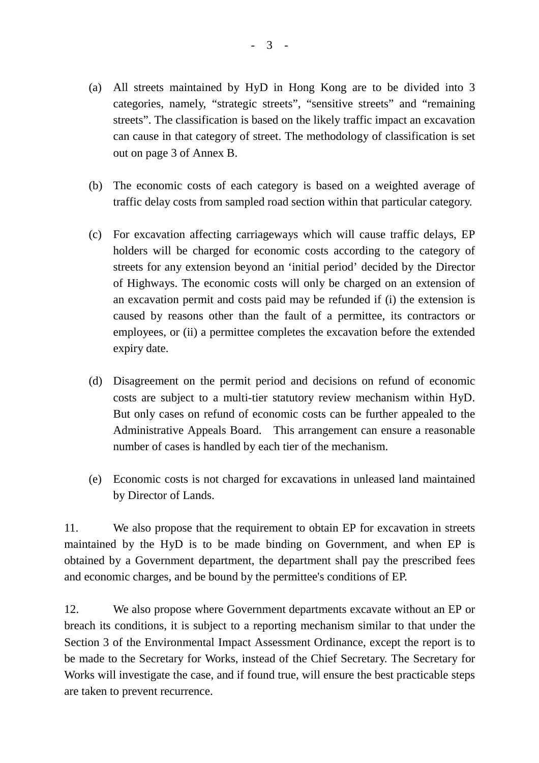- (a) All streets maintained by HyD in Hong Kong are to be divided into 3 categories, namely, "strategic streets", "sensitive streets" and "remaining streets". The classification is based on the likely traffic impact an excavation can cause in that category of street. The methodology of classification is set out on page 3 of Annex B.
- (b) The economic costs of each category is based on a weighted average of traffic delay costs from sampled road section within that particular category.
- (c) For excavation affecting carriageways which will cause traffic delays, EP holders will be charged for economic costs according to the category of streets for any extension beyond an 'initial period' decided by the Director of Highways. The economic costs will only be charged on an extension of an excavation permit and costs paid may be refunded if (i) the extension is caused by reasons other than the fault of a permittee, its contractors or employees, or (ii) a permittee completes the excavation before the extended expiry date.
- (d) Disagreement on the permit period and decisions on refund of economic costs are subject to a multi-tier statutory review mechanism within HyD. But only cases on refund of economic costs can be further appealed to the Administrative Appeals Board. This arrangement can ensure a reasonable number of cases is handled by each tier of the mechanism.
- (e) Economic costs is not charged for excavations in unleased land maintained by Director of Lands.

11. We also propose that the requirement to obtain EP for excavation in streets maintained by the HyD is to be made binding on Government, and when EP is obtained by a Government department, the department shall pay the prescribed fees and economic charges, and be bound by the permittee's conditions of EP.

12. We also propose where Government departments excavate without an EP or breach its conditions, it is subject to a reporting mechanism similar to that under the Section 3 of the Environmental Impact Assessment Ordinance, except the report is to be made to the Secretary for Works, instead of the Chief Secretary. The Secretary for Works will investigate the case, and if found true, will ensure the best practicable steps are taken to prevent recurrence.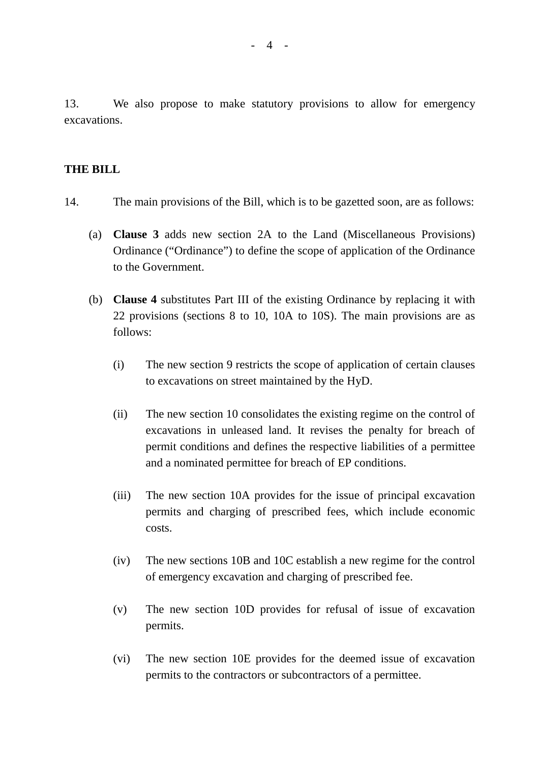13. We also propose to make statutory provisions to allow for emergency excavations.

#### **THE BILL**

- 14. The main provisions of the Bill, which is to be gazetted soon, are as follows:
	- (a) **Clause 3** adds new section 2A to the Land (Miscellaneous Provisions) Ordinance ("Ordinance") to define the scope of application of the Ordinance to the Government.
	- (b) **Clause 4** substitutes Part III of the existing Ordinance by replacing it with 22 provisions (sections 8 to 10, 10A to 10S). The main provisions are as follows:
		- (i) The new section 9 restricts the scope of application of certain clauses to excavations on street maintained by the HyD.
		- (ii) The new section 10 consolidates the existing regime on the control of excavations in unleased land. It revises the penalty for breach of permit conditions and defines the respective liabilities of a permittee and a nominated permittee for breach of EP conditions.
		- (iii) The new section 10A provides for the issue of principal excavation permits and charging of prescribed fees, which include economic costs.
		- (iv) The new sections 10B and 10C establish a new regime for the control of emergency excavation and charging of prescribed fee.
		- (v) The new section 10D provides for refusal of issue of excavation permits.
		- (vi) The new section 10E provides for the deemed issue of excavation permits to the contractors or subcontractors of a permittee.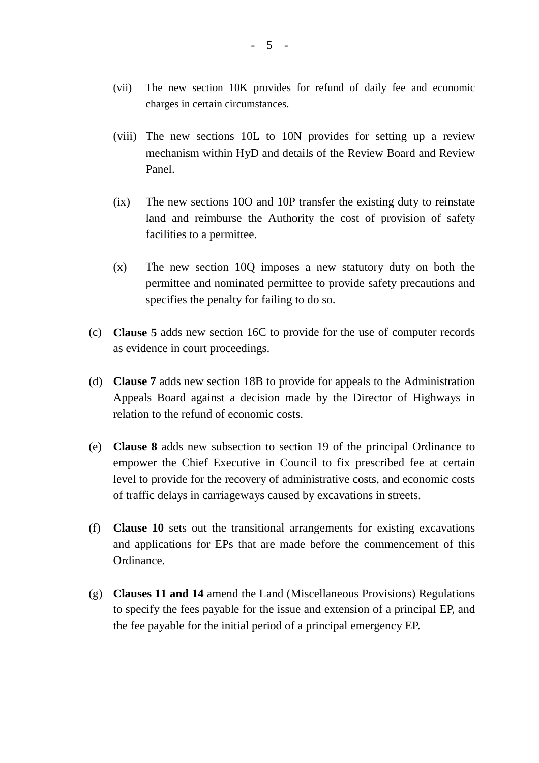- (vii) The new section 10K provides for refund of daily fee and economic charges in certain circumstances.
- (viii) The new sections 10L to 10N provides for setting up a review mechanism within HyD and details of the Review Board and Review Panel.
- (ix) The new sections 10O and 10P transfer the existing duty to reinstate land and reimburse the Authority the cost of provision of safety facilities to a permittee.
- (x) The new section 10Q imposes a new statutory duty on both the permittee and nominated permittee to provide safety precautions and specifies the penalty for failing to do so.
- (c) **Clause 5** adds new section 16C to provide for the use of computer records as evidence in court proceedings.
- (d) **Clause 7** adds new section 18B to provide for appeals to the Administration Appeals Board against a decision made by the Director of Highways in relation to the refund of economic costs.
- (e) **Clause 8** adds new subsection to section 19 of the principal Ordinance to empower the Chief Executive in Council to fix prescribed fee at certain level to provide for the recovery of administrative costs, and economic costs of traffic delays in carriageways caused by excavations in streets.
- (f) **Clause 10** sets out the transitional arrangements for existing excavations and applications for EPs that are made before the commencement of this Ordinance.
- (g) **Clauses 11 and 14** amend the Land (Miscellaneous Provisions) Regulations to specify the fees payable for the issue and extension of a principal EP, and the fee payable for the initial period of a principal emergency EP.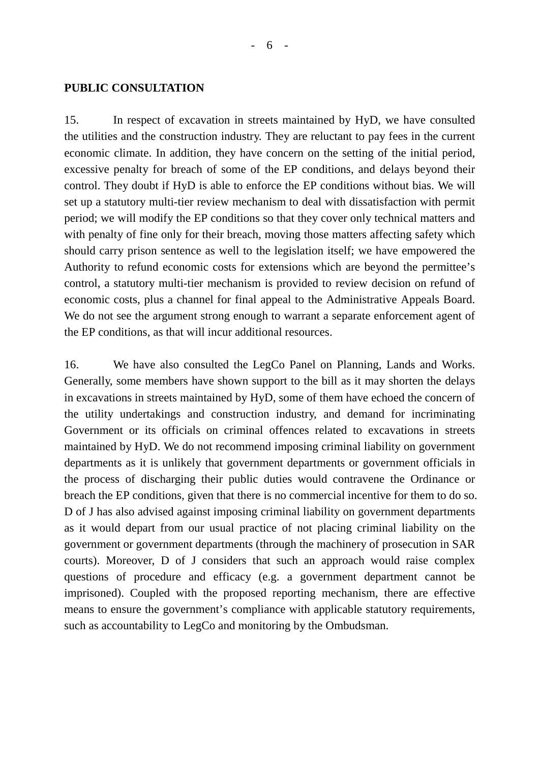#### **PUBLIC CONSULTATION**

15. In respect of excavation in streets maintained by HyD, we have consulted the utilities and the construction industry. They are reluctant to pay fees in the current economic climate. In addition, they have concern on the setting of the initial period, excessive penalty for breach of some of the EP conditions, and delays beyond their control. They doubt if HyD is able to enforce the EP conditions without bias. We will set up a statutory multi-tier review mechanism to deal with dissatisfaction with permit period; we will modify the EP conditions so that they cover only technical matters and with penalty of fine only for their breach, moving those matters affecting safety which should carry prison sentence as well to the legislation itself; we have empowered the Authority to refund economic costs for extensions which are beyond the permittee's control, a statutory multi-tier mechanism is provided to review decision on refund of economic costs, plus a channel for final appeal to the Administrative Appeals Board. We do not see the argument strong enough to warrant a separate enforcement agent of the EP conditions, as that will incur additional resources.

16. We have also consulted the LegCo Panel on Planning, Lands and Works. Generally, some members have shown support to the bill as it may shorten the delays in excavations in streets maintained by HyD, some of them have echoed the concern of the utility undertakings and construction industry, and demand for incriminating Government or its officials on criminal offences related to excavations in streets maintained by HyD. We do not recommend imposing criminal liability on government departments as it is unlikely that government departments or government officials in the process of discharging their public duties would contravene the Ordinance or breach the EP conditions, given that there is no commercial incentive for them to do so. D of J has also advised against imposing criminal liability on government departments as it would depart from our usual practice of not placing criminal liability on the government or government departments (through the machinery of prosecution in SAR courts). Moreover, D of J considers that such an approach would raise complex questions of procedure and efficacy (e.g. a government department cannot be imprisoned). Coupled with the proposed reporting mechanism, there are effective means to ensure the government's compliance with applicable statutory requirements, such as accountability to LegCo and monitoring by the Ombudsman.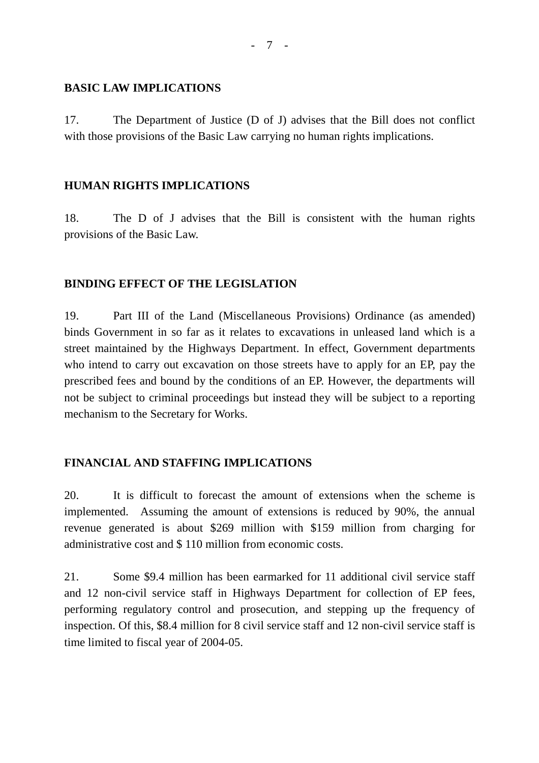#### **BASIC LAW IMPLICATIONS**

17. The Department of Justice (D of J) advises that the Bill does not conflict with those provisions of the Basic Law carrying no human rights implications.

#### **HUMAN RIGHTS IMPLICATIONS**

18. The D of J advises that the Bill is consistent with the human rights provisions of the Basic Law.

#### **BINDING EFFECT OF THE LEGISLATION**

19. Part III of the Land (Miscellaneous Provisions) Ordinance (as amended) binds Government in so far as it relates to excavations in unleased land which is a street maintained by the Highways Department. In effect, Government departments who intend to carry out excavation on those streets have to apply for an EP, pay the prescribed fees and bound by the conditions of an EP. However, the departments will not be subject to criminal proceedings but instead they will be subject to a reporting mechanism to the Secretary for Works.

#### **FINANCIAL AND STAFFING IMPLICATIONS**

20. It is difficult to forecast the amount of extensions when the scheme is implemented. Assuming the amount of extensions is reduced by 90%, the annual revenue generated is about \$269 million with \$159 million from charging for administrative cost and \$ 110 million from economic costs.

21. Some \$9.4 million has been earmarked for 11 additional civil service staff and 12 non-civil service staff in Highways Department for collection of EP fees, performing regulatory control and prosecution, and stepping up the frequency of inspection. Of this, \$8.4 million for 8 civil service staff and 12 non-civil service staff is time limited to fiscal year of 2004-05.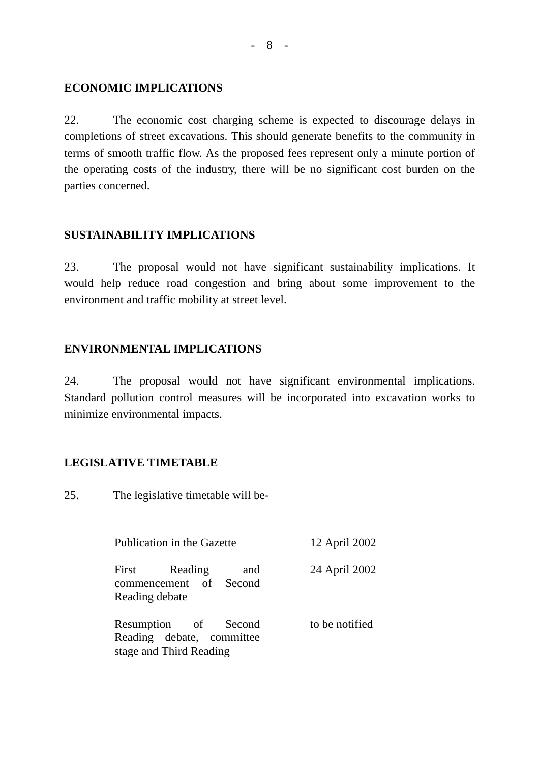#### **ECONOMIC IMPLICATIONS**

22. The economic cost charging scheme is expected to discourage delays in completions of street excavations. This should generate benefits to the community in terms of smooth traffic flow. As the proposed fees represent only a minute portion of the operating costs of the industry, there will be no significant cost burden on the parties concerned.

#### **SUSTAINABILITY IMPLICATIONS**

23. The proposal would not have significant sustainability implications. It would help reduce road congestion and bring about some improvement to the environment and traffic mobility at street level.

#### **ENVIRONMENTAL IMPLICATIONS**

24. The proposal would not have significant environmental implications. Standard pollution control measures will be incorporated into excavation works to minimize environmental impacts.

#### **LEGISLATIVE TIMETABLE**

25. The legislative timetable will be-

| Publication in the Gazette |                                                                              |     | 12 April 2002  |
|----------------------------|------------------------------------------------------------------------------|-----|----------------|
| Reading debate             | First Reading<br>commencement of Second                                      | and | 24 April 2002  |
|                            | Resumption of Second<br>Reading debate, committee<br>stage and Third Reading |     | to be notified |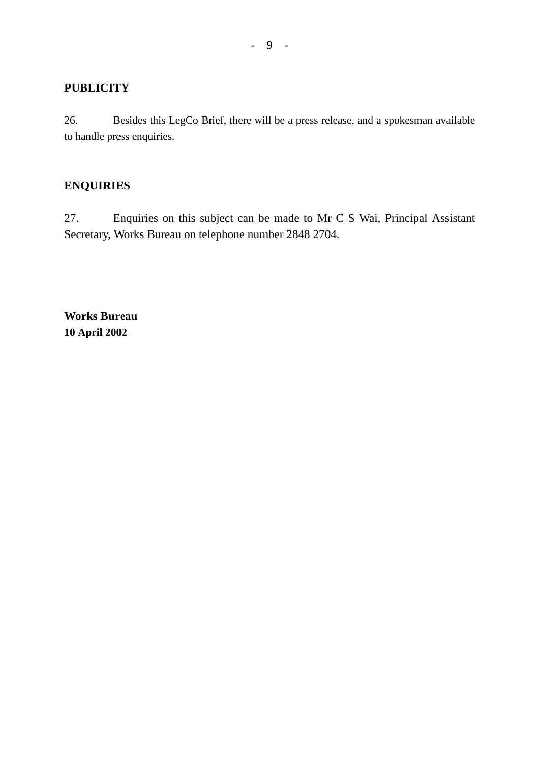#### **PUBLICITY**

26. Besides this LegCo Brief, there will be a press release, and a spokesman available to handle press enquiries.

### **ENQUIRIES**

27. Enquiries on this subject can be made to Mr C S Wai, Principal Assistant Secretary, Works Bureau on telephone number 2848 2704.

**Works Bureau 10 April 2002**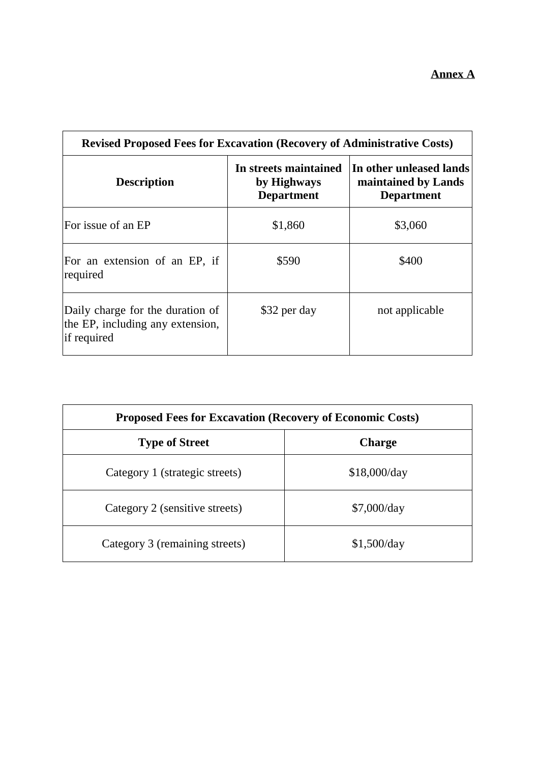| <b>Revised Proposed Fees for Excavation (Recovery of Administrative Costs)</b>      |                                                           |                                                                     |  |
|-------------------------------------------------------------------------------------|-----------------------------------------------------------|---------------------------------------------------------------------|--|
| <b>Description</b>                                                                  | In streets maintained<br>by Highways<br><b>Department</b> | In other unleased lands<br>maintained by Lands<br><b>Department</b> |  |
| For issue of an EP                                                                  | \$1,860                                                   | \$3,060                                                             |  |
| For an extension of an EP, if<br>required                                           | \$590                                                     | \$400                                                               |  |
| Daily charge for the duration of<br>the EP, including any extension,<br>if required | \$32 per day                                              | not applicable                                                      |  |

| <b>Proposed Fees for Excavation (Recovery of Economic Costs)</b> |               |  |
|------------------------------------------------------------------|---------------|--|
| <b>Type of Street</b>                                            | <b>Charge</b> |  |
| Category 1 (strategic streets)                                   | \$18,000/day  |  |
| Category 2 (sensitive streets)                                   | \$7,000/day   |  |
| Category 3 (remaining streets)                                   | \$1,500/day   |  |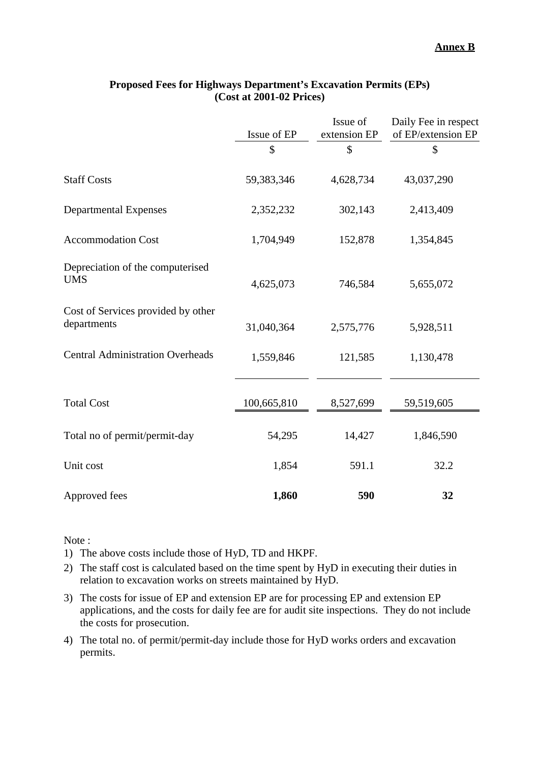|                                                   | Issue of EP | Issue of<br>extension EP | Daily Fee in respect<br>of EP/extension EP |
|---------------------------------------------------|-------------|--------------------------|--------------------------------------------|
|                                                   | \$          | \$                       | \$                                         |
| <b>Staff Costs</b>                                | 59,383,346  | 4,628,734                | 43,037,290                                 |
| <b>Departmental Expenses</b>                      | 2,352,232   | 302,143                  | 2,413,409                                  |
| <b>Accommodation Cost</b>                         | 1,704,949   | 152,878                  | 1,354,845                                  |
| Depreciation of the computerised<br><b>UMS</b>    | 4,625,073   | 746,584                  | 5,655,072                                  |
| Cost of Services provided by other<br>departments | 31,040,364  | 2,575,776                | 5,928,511                                  |
| <b>Central Administration Overheads</b>           | 1,559,846   | 121,585                  | 1,130,478                                  |
| <b>Total Cost</b>                                 | 100,665,810 | 8,527,699                | 59,519,605                                 |
| Total no of permit/permit-day                     | 54,295      | 14,427                   | 1,846,590                                  |
| Unit cost                                         | 1,854       | 591.1                    | 32.2                                       |
| Approved fees                                     | 1,860       | 590                      | 32                                         |

#### **Proposed Fees for Highways Department's Excavation Permits (EPs) (Cost at 2001-02 Prices)**

Note :

1) The above costs include those of HyD, TD and HKPF.

- 2) The staff cost is calculated based on the time spent by HyD in executing their duties in relation to excavation works on streets maintained by HyD.
- 3) The costs for issue of EP and extension EP are for processing EP and extension EP applications, and the costs for daily fee are for audit site inspections. They do not include the costs for prosecution.
- 4) The total no. of permit/permit-day include those for HyD works orders and excavation permits.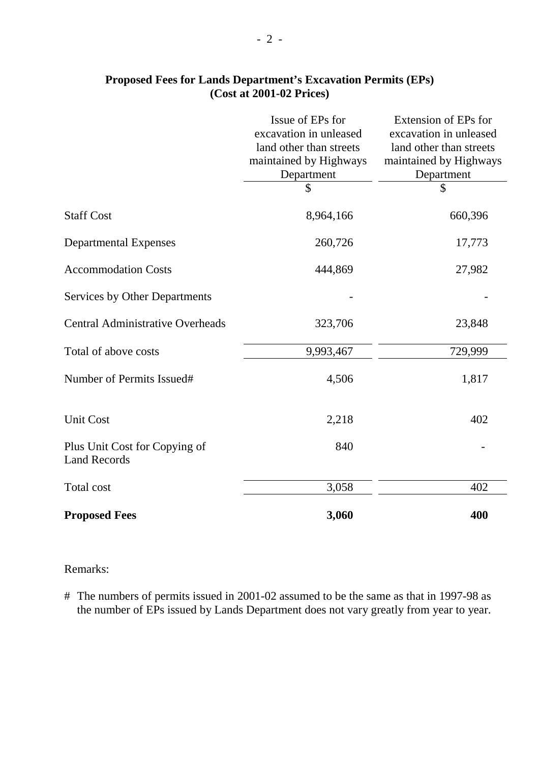|                                                      | Issue of EPs for        | Extension of EPs for    |
|------------------------------------------------------|-------------------------|-------------------------|
|                                                      | excavation in unleased  | excavation in unleased  |
|                                                      | land other than streets | land other than streets |
|                                                      | maintained by Highways  | maintained by Highways  |
|                                                      | Department              | Department              |
|                                                      | \$                      | \$                      |
| <b>Staff Cost</b>                                    | 8,964,166               | 660,396                 |
| <b>Departmental Expenses</b>                         | 260,726                 | 17,773                  |
| <b>Accommodation Costs</b>                           | 444,869                 | 27,982                  |
| <b>Services by Other Departments</b>                 |                         |                         |
| <b>Central Administrative Overheads</b>              | 323,706                 | 23,848                  |
| Total of above costs                                 | 9,993,467               | 729,999                 |
| Number of Permits Issued#                            | 4,506                   | 1,817                   |
| <b>Unit Cost</b>                                     | 2,218                   | 402                     |
| Plus Unit Cost for Copying of<br><b>Land Records</b> | 840                     |                         |
| <b>Total cost</b>                                    | 3,058                   | 402                     |
| <b>Proposed Fees</b>                                 | 3,060                   | 400                     |

### **Proposed Fees for Lands Department's Excavation Permits (EPs) (Cost at 2001-02 Prices)**

#### Remarks:

# The numbers of permits issued in 2001-02 assumed to be the same as that in 1997-98 as the number of EPs issued by Lands Department does not vary greatly from year to year.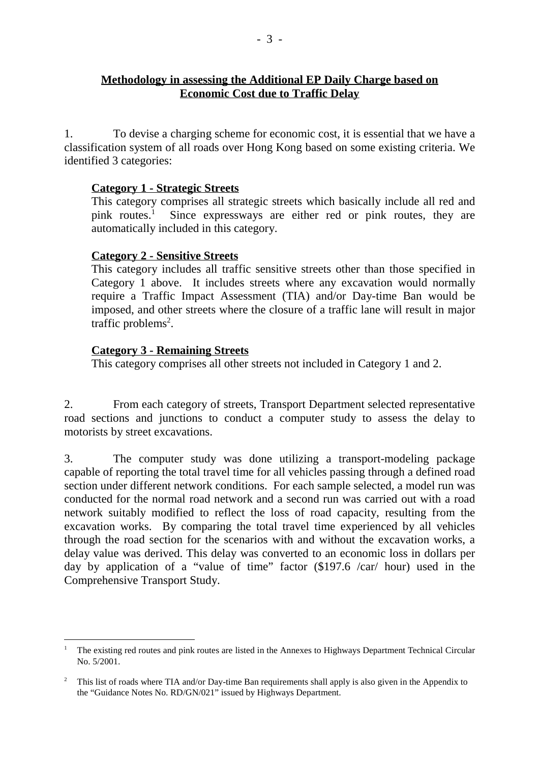### **Methodology in assessing the Additional EP Daily Charge based on Economic Cost due to Traffic Delay**

1. To devise a charging scheme for economic cost, it is essential that we have a classification system of all roads over Hong Kong based on some existing criteria. We identified 3 categories:

#### **Category 1 - Strategic Streets**

This category comprises all strategic streets which basically include all red and pink routes.<sup>1</sup> Since expressways are either red or pink routes, they are automatically included in this category.

#### **Category 2 - Sensitive Streets**

This category includes all traffic sensitive streets other than those specified in Category 1 above. It includes streets where any excavation would normally require a Traffic Impact Assessment (TIA) and/or Day-time Ban would be imposed, and other streets where the closure of a traffic lane will result in major traffic problems<sup>2</sup>.

#### **Category 3 - Remaining Streets**

 $\overline{a}$ 

This category comprises all other streets not included in Category 1 and 2.

2. From each category of streets, Transport Department selected representative road sections and junctions to conduct a computer study to assess the delay to motorists by street excavations.

3. The computer study was done utilizing a transport-modeling package capable of reporting the total travel time for all vehicles passing through a defined road section under different network conditions. For each sample selected, a model run was conducted for the normal road network and a second run was carried out with a road network suitably modified to reflect the loss of road capacity, resulting from the excavation works. By comparing the total travel time experienced by all vehicles through the road section for the scenarios with and without the excavation works, a delay value was derived. This delay was converted to an economic loss in dollars per day by application of a "value of time" factor (\$197.6 /car/ hour) used in the Comprehensive Transport Study.

<sup>1</sup> The existing red routes and pink routes are listed in the Annexes to Highways Department Technical Circular No. 5/2001.

<sup>&</sup>lt;sup>2</sup> This list of roads where TIA and/or Day-time Ban requirements shall apply is also given in the Appendix to the "Guidance Notes No. RD/GN/021" issued by Highways Department.